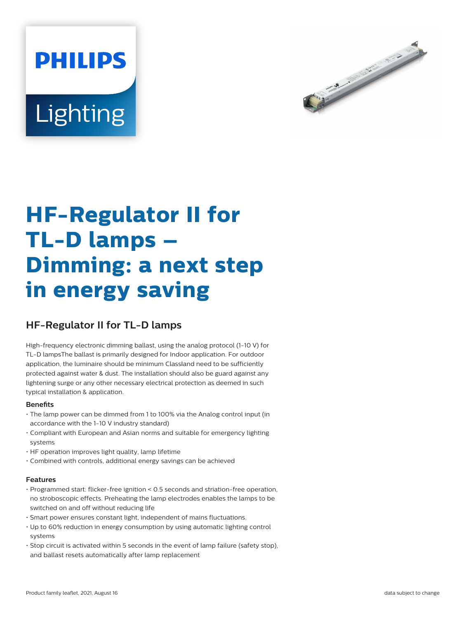# **PHILIPS** Lighting



## **HF-Regulator II for TL-D lamps – Dimming: a next step in energy saving**

### **HF-Regulator II for TL-D lamps**

High-frequency electronic dimming ballast, using the analog protocol (1-10 V) for TL-D lampsThe ballast is primarily designed for Indoor application. For outdoor application, the luminaire should be minimum Classland need to be sufficiently protected against water & dust. The installation should also be guard against any lightening surge or any other necessary electrical protection as deemed in such typical installation & application.

#### **Benefits**

- The lamp power can be dimmed from 1 to 100% via the Analog control input (in accordance with the 1-10 V industry standard)
- Compliant with European and Asian norms and suitable for emergency lighting systems
- HF operation improves light quality, lamp lifetime
- Combined with controls, additional energy savings can be achieved

#### **Features**

- Programmed start: flicker-free ignition < 0.5 seconds and striation-free operation, no stroboscopic effects. Preheating the lamp electrodes enables the lamps to be switched on and off without reducing life
- Smart power ensures constant light, independent of mains fluctuations.
- Up to 60% reduction in energy consumption by using automatic lighting control systems
- Stop circuit is activated within 5 seconds in the event of lamp failure (safety stop), and ballast resets automatically after lamp replacement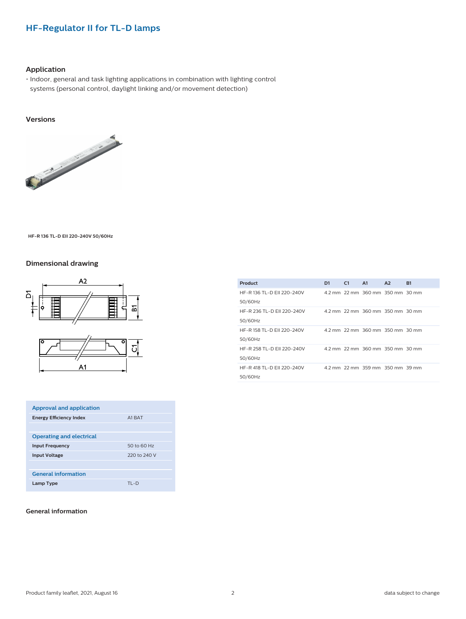#### **HF-Regulator II for TL-D lamps**

#### **Application**

• Indoor, general and task lighting applications in combination with lighting control systems (personal control, daylight linking and/or movement detection)

#### **Versions**



**HF-R 136 TL-D EII 220-240V 50/60Hz**

#### **Dimensional drawing**



| <b>Approval and application</b> |              |
|---------------------------------|--------------|
| <b>Energy Efficiency Index</b>  | A1 BAT       |
|                                 |              |
| <b>Operating and electrical</b> |              |
| <b>Input Frequency</b>          | 50 to 60 Hz  |
| <b>Input Voltage</b>            | 220 to 240 V |
|                                 |              |
| <b>General information</b>      |              |
| Lamp Type                       | $TI - D$     |

#### **General information**

| <b>Product</b>                        | D <sub>1</sub> | C1 | A1                               | A2 | <b>B1</b> |
|---------------------------------------|----------------|----|----------------------------------|----|-----------|
| HF-R 136 TL-D FII 220-240V<br>50/60Hz |                |    | 4.2 mm 22 mm 360 mm 350 mm 30 mm |    |           |
| HF-R 236 TL-D EII 220-240V<br>50/60Hz |                |    | 4.2 mm 22 mm 360 mm 350 mm 30 mm |    |           |
| HF-R 158 TL-D FII 220-240V<br>50/60Hz |                |    | 4.2 mm 22 mm 360 mm 350 mm 30 mm |    |           |
| HF-R 258 TL-D FII 220-240V<br>50/60Hz |                |    | 4.2 mm 22 mm 360 mm 350 mm 30 mm |    |           |
| HF-R 418 TL-D FII 220-240V<br>50/60Hz |                |    | 4.2 mm 22 mm 359 mm 350 mm 39 mm |    |           |